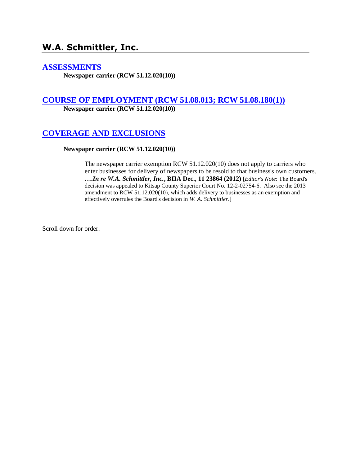# **W.A. Schmittler, Inc.**

### **[ASSESSMENTS](http://www.biia.wa.gov/SDSubjectIndex.html#ASSESSMENTS)**

**Newspaper carrier (RCW 51.12.020(10))**

## **[COURSE OF EMPLOYMENT \(RCW 51.08.013; RCW 51.08.180\(1\)\)](http://www.biia.wa.gov/SDSubjectIndex.html#COURSE_OF_EMPLOYMENT)**

**Newspaper carrier (RCW 51.12.020(10))**

# **[COVERAGE AND EXCLUSIONS](http://www.biia.wa.gov/SDSubjectIndex.html#COVERAGE_AND_EXCLUSIONS)**

#### **Newspaper carrier (RCW 51.12.020(10))**

The newspaper carrier exemption RCW 51.12.020(10) does not apply to carriers who enter businesses for delivery of newspapers to be resold to that business's own customers. **….***In re W.A. Schmittler, Inc.***, BIIA Dec., 11 23864 (2012)** [*Editor's Note*: The Board's decision was appealed to Kitsap County Superior Court No. 12-2-02754-6. Also see the 2013 amendment to RCW 51.12.020(10), which adds delivery to businesses as an exemption and effectively overrules the Board's decision in *W. A. Schmittler*.]

Scroll down for order.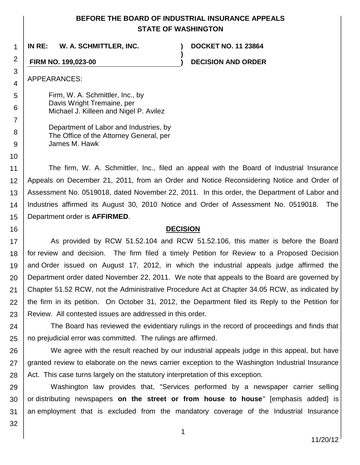### **BEFORE THE BOARD OF INDUSTRIAL INSURANCE APPEALS STATE OF WASHINGTON**

**)**

**IN RE: W. A. SCHMITTLER, INC. ) DOCKET NO. 11 23864**

**FIRM NO. 199,023-00 ) DECISION AND ORDER**

APPEARANCES:

1

2

3

4

5 6

7

8 9

10

16

Firm, W. A. Schmittler, Inc., by Davis Wright Tremaine, per Michael J. Killeen and Nigel P. Avilez

Department of Labor and Industries, by The Office of the Attorney General, per James M. Hawk

11 12 13 14 15 The firm, W. A. Schmittler, Inc., filed an appeal with the Board of Industrial Insurance Appeals on December 21, 2011, from an Order and Notice Reconsidering Notice and Order of Assessment No. 0519018, dated November 22, 2011. In this order, the Department of Labor and Industries affirmed its August 30, 2010 Notice and Order of Assessment No. 0519018. The Department order is **AFFIRMED**.

### **DECISION**

17 18 19 20 21 22 23 As provided by RCW 51.52.104 and RCW 51.52.106, this matter is before the Board for review and decision. The firm filed a timely Petition for Review to a Proposed Decision and Order issued on August 17, 2012, in which the industrial appeals judge affirmed the Department order dated November 22, 2011. We note that appeals to the Board are governed by Chapter 51.52 RCW, not the Administrative Procedure Act at Chapter 34.05 RCW, as indicated by the firm in its petition. On October 31, 2012, the Department filed its Reply to the Petition for Review. All contested issues are addressed in this order.

24 25 The Board has reviewed the evidentiary rulings in the record of proceedings and finds that no prejudicial error was committed. The rulings are affirmed.

26 27 28 We agree with the result reached by our industrial appeals judge in this appeal, but have granted review to elaborate on the news carrier exception to the Washington Industrial Insurance Act. This case turns largely on the statutory interpretation of this exception.

29 30 31 Washington law provides that, "Services performed by a newspaper carrier selling or distributing newspapers **on the street or from house to house***"* [emphasis added] is an employment that is excluded from the mandatory coverage of the Industrial Insurance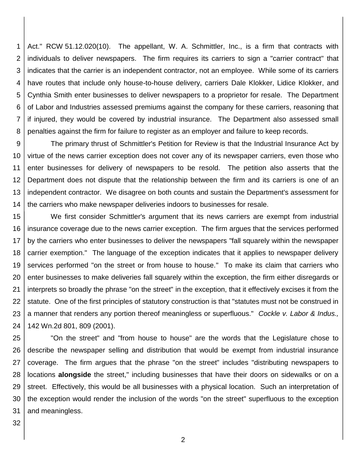1 2 3 4 5 6 7 8 Act." RCW 51.12.020(10). The appellant, W. A. Schmittler, Inc., is a firm that contracts with individuals to deliver newspapers. The firm requires its carriers to sign a "carrier contract" that indicates that the carrier is an independent contractor, not an employee. While some of its carriers have routes that include only house-to-house delivery, carriers Dale Klokker, Lidice Klokker, and Cynthia Smith enter businesses to deliver newspapers to a proprietor for resale. The Department of Labor and Industries assessed premiums against the company for these carriers, reasoning that if injured, they would be covered by industrial insurance. The Department also assessed small penalties against the firm for failure to register as an employer and failure to keep records.

9 10 11 12 13 14 The primary thrust of Schmittler's Petition for Review is that the Industrial Insurance Act by virtue of the news carrier exception does not cover any of its newspaper carriers, even those who enter businesses for delivery of newspapers to be resold. The petition also asserts that the Department does not dispute that the relationship between the firm and its carriers is one of an independent contractor. We disagree on both counts and sustain the Department's assessment for the carriers who make newspaper deliveries indoors to businesses for resale.

15 16 17 18 19 20 21 22 23 24 We first consider Schmittler's argument that its news carriers are exempt from industrial insurance coverage due to the news carrier exception. The firm argues that the services performed by the carriers who enter businesses to deliver the newspapers "fall squarely within the newspaper carrier exemption." The language of the exception indicates that it applies to newspaper delivery services performed "on the street or from house to house." To make its claim that carriers who enter businesses to make deliveries fall squarely within the exception, the firm either disregards or interprets so broadly the phrase "on the street" in the exception, that it effectively excises it from the statute. One of the first principles of statutory construction is that "statutes must not be construed in a manner that renders any portion thereof meaningless or superfluous." *Cockle v. Labor & Indus.,* 142 Wn.2d 801, 809 (2001).

25 26 27 28 29 30 31 "On the street" and "from house to house" are the words that the Legislature chose to describe the newspaper selling and distribution that would be exempt from industrial insurance coverage. The firm argues that the phrase "on the street" includes "distributing newspapers to locations **alongside** the street," including businesses that have their doors on sidewalks or on a street. Effectively, this would be all businesses with a physical location. Such an interpretation of the exception would render the inclusion of the words "on the street" superfluous to the exception and meaningless.

32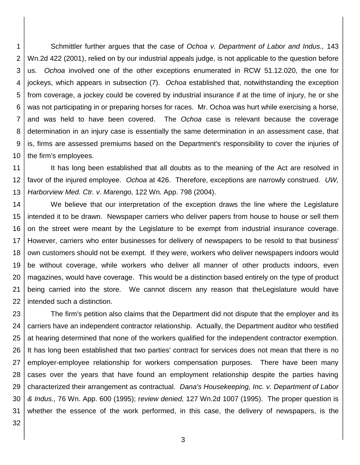1 2 3 4 5 6 7 8 9 10 Schmittler further argues that the case of *Ochoa v. Department of Labor and Indus.,* 143 Wn.2d 422 (2001), relied on by our industrial appeals judge, is not applicable to the question before us. *Ochoa* involved one of the other exceptions enumerated in RCW 51.12.020, the one for jockeys, which appears in subsection (7). *Ochoa* established that, notwithstanding the exception from coverage, a jockey could be covered by industrial insurance if at the time of injury, he or she was not participating in or preparing horses for races. Mr. Ochoa was hurt while exercising a horse, and was held to have been covered. The *Ochoa* case is relevant because the coverage determination in an injury case is essentially the same determination in an assessment case, that is, firms are assessed premiums based on the Department's responsibility to cover the injuries of the firm's employees.

11 12 13 It has long been established that all doubts as to the meaning of the Act are resolved in favor of the injured employee. *Ochoa* at 426. Therefore, exceptions are narrowly construed. *UW, Harborview Med. Ctr. v. Marengo,* 122 Wn. App. 798 (2004).

14 15 16 17 18 19 20 21 22 We believe that our interpretation of the exception draws the line where the Legislature intended it to be drawn. Newspaper carriers who deliver papers from house to house or sell them on the street were meant by the Legislature to be exempt from industrial insurance coverage. However, carriers who enter businesses for delivery of newspapers to be resold to that business' own customers should not be exempt. If they were, workers who deliver newspapers indoors would be without coverage, while workers who deliver all manner of other products indoors, even magazines, would have coverage. This would be a distinction based entirely on the type of product being carried into the store. We cannot discern any reason that theLegislature would have intended such a distinction.

23 24 25 26 27 28 29 30 31 The firm's petition also claims that the Department did not dispute that the employer and its carriers have an independent contractor relationship. Actually, the Department auditor who testified at hearing determined that none of the workers qualified for the independent contractor exemption. It has long been established that two parties' contract for services does not mean that there is no employer-employee relationship for workers compensation purposes. There have been many cases over the years that have found an employment relationship despite the parties having characterized their arrangement as contractual. *Dana's Housekeeping, Inc. v. Department of Labor & Indus.,* 76 Wn. App. 600 (1995); r*eview denied,* 127 Wn.2d 1007 (1995). The proper question is whether the essence of the work performed, in this case, the delivery of newspapers, is the

32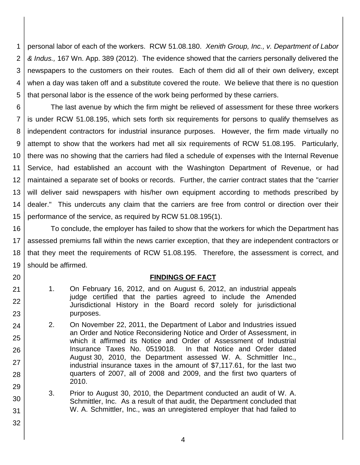1 2 3 4 5 personal labor of each of the workers. RCW 51.08.180. *Xenith Group, Inc., v. Department of Labor & Indus.,* 167 Wn. App. 389 (2012). The evidence showed that the carriers personally delivered the newspapers to the customers on their routes. Each of them did all of their own delivery, except when a day was taken off and a substitute covered the route. We believe that there is no question that personal labor is the essence of the work being performed by these carriers.

6 7 8 9 10 11 12 13 14 15 The last avenue by which the firm might be relieved of assessment for these three workers is under RCW 51.08.195, which sets forth six requirements for persons to qualify themselves as independent contractors for industrial insurance purposes. However, the firm made virtually no attempt to show that the workers had met all six requirements of RCW 51.08.195. Particularly, there was no showing that the carriers had filed a schedule of expenses with the Internal Revenue Service, had established an account with the Washington Department of Revenue, or had maintained a separate set of books or records. Further, the carrier contract states that the "carrier will deliver said newspapers with his/her own equipment according to methods prescribed by dealer." This undercuts any claim that the carriers are free from control or direction over their performance of the service, as required by RCW 51.08.195(1).

16 17 18 19 To conclude, the employer has failed to show that the workers for which the Department has assessed premiums fall within the news carrier exception, that they are independent contractors or that they meet the requirements of RCW 51.08.195. Therefore, the assessment is correct, and should be affirmed.

### **FINDINGS OF FACT**

- 1. On February 16, 2012, and on August 6, 2012, an industrial appeals judge certified that the parties agreed to include the Amended Jurisdictional History in the Board record solely for jurisdictional purposes.
- 2. On November 22, 2011, the Department of Labor and Industries issued an Order and Notice Reconsidering Notice and Order of Assessment, in which it affirmed its Notice and Order of Assessment of Industrial Insurance Taxes No. 0519018. In that Notice and Order dated August 30, 2010, the Department assessed W. A. Schmittler Inc., industrial insurance taxes in the amount of \$7,117.61, for the last two quarters of 2007, all of 2008 and 2009, and the first two quarters of 2010.
- 3. Prior to August 30, 2010, the Department conducted an audit of W. A. Schmittler, Inc. As a result of that audit, the Department concluded that W. A. Schmittler, Inc., was an unregistered employer that had failed to
- 31 32

20

21

22

23

24

25

26

27

28

29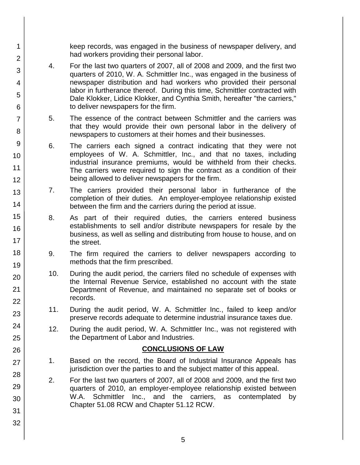keep records, was engaged in the business of newspaper delivery, and had workers providing their personal labor.

- 4. For the last two quarters of 2007, all of 2008 and 2009, and the first two quarters of 2010, W. A. Schmittler Inc., was engaged in the business of newspaper distribution and had workers who provided their personal labor in furtherance thereof. During this time, Schmittler contracted with Dale Klokker, Lidice Klokker, and Cynthia Smith, hereafter "the carriers," to deliver newspapers for the firm.
- 5. The essence of the contract between Schmittler and the carriers was that they would provide their own personal labor in the delivery of newspapers to customers at their homes and their businesses.
- 6. The carriers each signed a contract indicating that they were not employees of W. A. Schmittler, Inc., and that no taxes, including industrial insurance premiums, would be withheld from their checks. The carriers were required to sign the contract as a condition of their being allowed to deliver newspapers for the firm.
- 7. The carriers provided their personal labor in furtherance of the completion of their duties. An employer-employee relationship existed between the firm and the carriers during the period at issue.
- 8. As part of their required duties, the carriers entered business establishments to sell and/or distribute newspapers for resale by the business, as well as selling and distributing from house to house, and on the street.
- 9. The firm required the carriers to deliver newspapers according to methods that the firm prescribed.
- 10. During the audit period, the carriers filed no schedule of expenses with the Internal Revenue Service, established no account with the state Department of Revenue, and maintained no separate set of books or records.
- 11. During the audit period, W. A. Schmittler Inc., failed to keep and/or preserve records adequate to determine industrial insurance taxes due.
- 12. During the audit period, W. A. Schmittler Inc., was not registered with the Department of Labor and Industries.

## **CONCLUSIONS OF LAW**

- 1. Based on the record, the Board of Industrial Insurance Appeals has jurisdiction over the parties to and the subject matter of this appeal.
- 2. For the last two quarters of 2007, all of 2008 and 2009, and the first two quarters of 2010, an employer-employee relationship existed between W.A. Schmittler Inc., and the carriers, as contemplated by Chapter 51.08 RCW and Chapter 51.12 RCW.
- 3 4 5 6 7 8 9 10 11 12 13 14 15 16 17 18 19 20 21 22 23 24 25 26 27 28 29 30 31 32

1